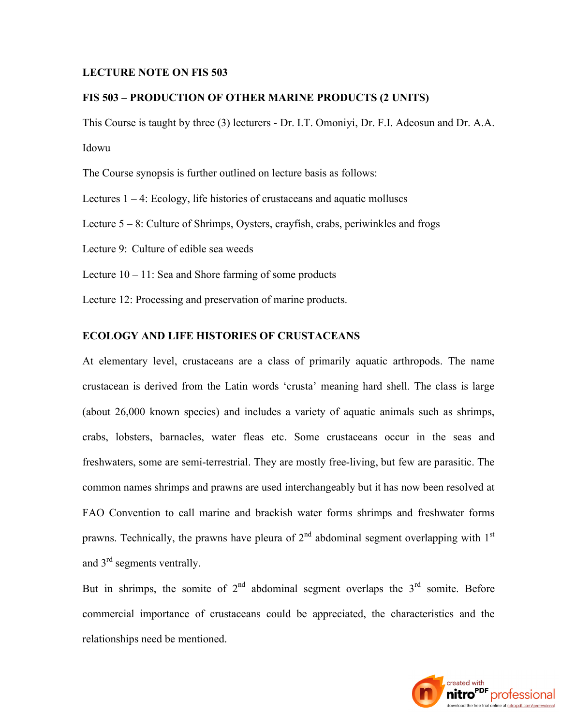#### **LECTURE NOTE ON FIS 503**

## **FIS 503 – PRODUCTION OF OTHER MARINE PRODUCTS (2 UNITS)**

This Course is taught by three (3) lecturers - Dr. I.T. Omoniyi, Dr. F.I. Adeosun and Dr. A.A. Idowu

The Course synopsis is further outlined on lecture basis as follows:

Lectures  $1 - 4$ : Ecology, life histories of crustaceans and aquatic molluscs

Lecture 5 – 8: Culture of Shrimps, Oysters, crayfish, crabs, periwinkles and frogs

Lecture 9: Culture of edible sea weeds

Lecture  $10 - 11$ : Sea and Shore farming of some products

Lecture 12: Processing and preservation of marine products.

### **ECOLOGY AND LIFE HISTORIES OF CRUSTACEANS**

At elementary level, crustaceans are a class of primarily aquatic arthropods. The name crustacean is derived from the Latin words 'crusta' meaning hard shell. The class is large (about 26,000 known species) and includes a variety of aquatic animals such as shrimps, crabs, lobsters, barnacles, water fleas etc. Some crustaceans occur in the seas and freshwaters, some are semi-terrestrial. They are mostly free-living, but few are parasitic. The common names shrimps and prawns are used interchangeably but it has now been resolved at FAO Convention to call marine and brackish water forms shrimps and freshwater forms prawns. Technically, the prawns have pleura of  $2<sup>nd</sup>$  abdominal segment overlapping with  $1<sup>st</sup>$ and 3<sup>rd</sup> segments ventrally.

But in shrimps, the somite of  $2<sup>nd</sup>$  abdominal segment overlaps the  $3<sup>rd</sup>$  somite. Before commercial importance of crustaceans could be appreciated, the characteristics and the relationships need be mentioned.

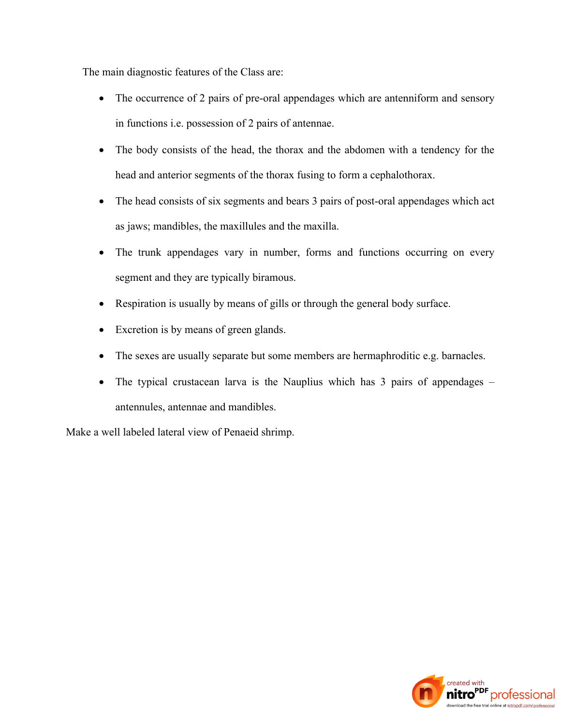The main diagnostic features of the Class are:

- The occurrence of 2 pairs of pre-oral appendages which are antenniform and sensory in functions i.e. possession of 2 pairs of antennae.
- The body consists of the head, the thorax and the abdomen with a tendency for the head and anterior segments of the thorax fusing to form a cephalothorax.
- The head consists of six segments and bears 3 pairs of post-oral appendages which act as jaws; mandibles, the maxillules and the maxilla.
- The trunk appendages vary in number, forms and functions occurring on every segment and they are typically biramous.
- Respiration is usually by means of gills or through the general body surface.
- Excretion is by means of green glands.
- The sexes are usually separate but some members are hermaphroditic e.g. barnacles.
- The typical crustacean larva is the Nauplius which has 3 pairs of appendages antennules, antennae and mandibles.

Make a well labeled lateral view of Penaeid shrimp.

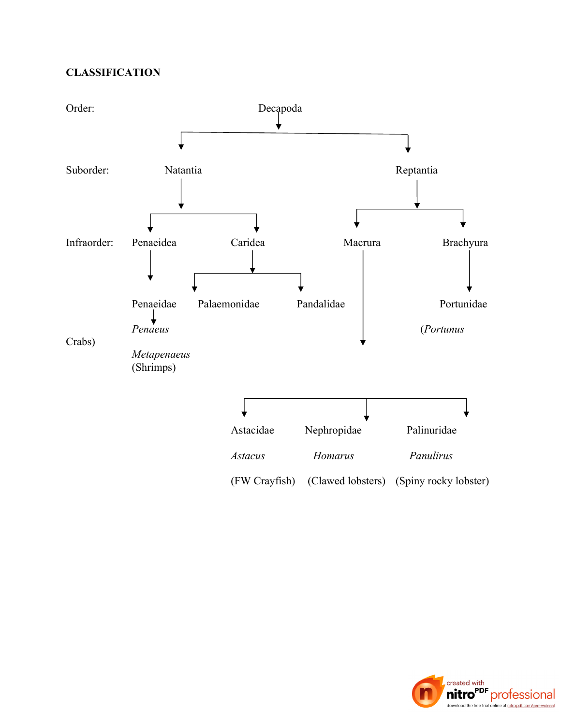# **CLASSIFICATION**



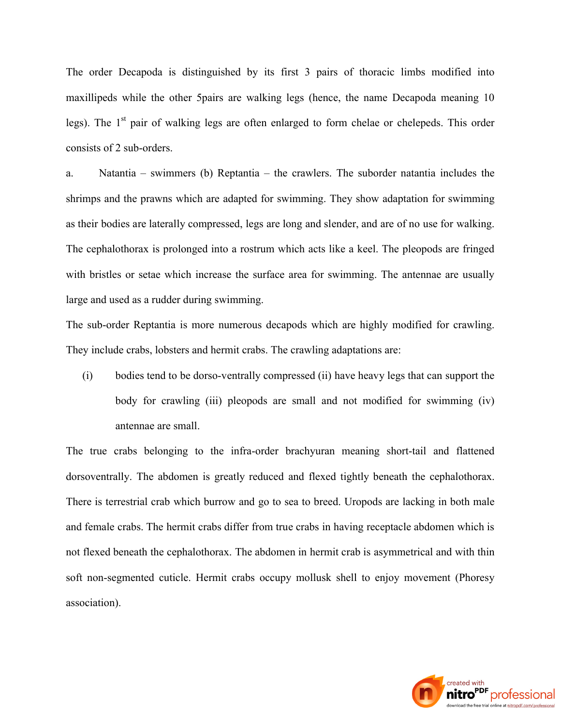The order Decapoda is distinguished by its first 3 pairs of thoracic limbs modified into maxillipeds while the other 5pairs are walking legs (hence, the name Decapoda meaning 10 legs). The  $1<sup>st</sup>$  pair of walking legs are often enlarged to form chelae or chelepeds. This order consists of 2 sub-orders.

a. Natantia – swimmers (b) Reptantia – the crawlers. The suborder natantia includes the shrimps and the prawns which are adapted for swimming. They show adaptation for swimming as their bodies are laterally compressed, legs are long and slender, and are of no use for walking. The cephalothorax is prolonged into a rostrum which acts like a keel. The pleopods are fringed with bristles or setae which increase the surface area for swimming. The antennae are usually large and used as a rudder during swimming.

The sub-order Reptantia is more numerous decapods which are highly modified for crawling. They include crabs, lobsters and hermit crabs. The crawling adaptations are:

(i) bodies tend to be dorso-ventrally compressed (ii) have heavy legs that can support the body for crawling (iii) pleopods are small and not modified for swimming (iv) antennae are small.

The true crabs belonging to the infra-order brachyuran meaning short-tail and flattened dorsoventrally. The abdomen is greatly reduced and flexed tightly beneath the cephalothorax. There is terrestrial crab which burrow and go to sea to breed. Uropods are lacking in both male and female crabs. The hermit crabs differ from true crabs in having receptacle abdomen which is not flexed beneath the cephalothorax. The abdomen in hermit crab is asymmetrical and with thin soft non-segmented cuticle. Hermit crabs occupy mollusk shell to enjoy movement (Phoresy association).

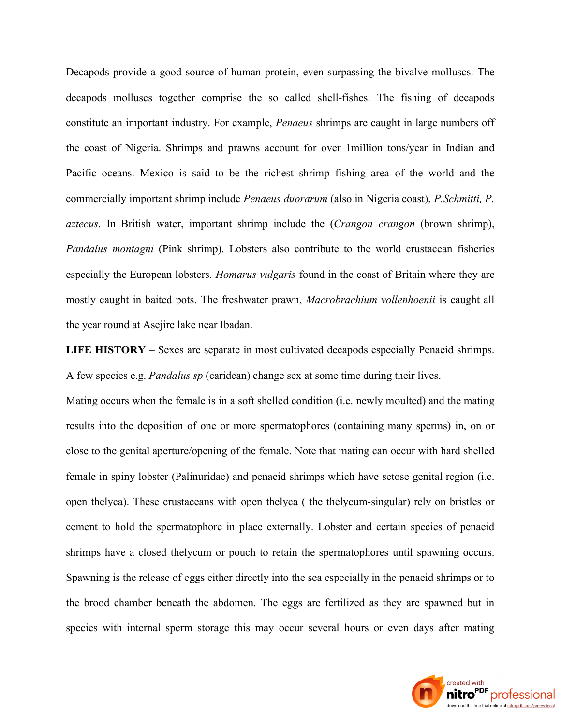Decapods provide a good source of human protein, even surpassing the bivalve molluscs. The decapods molluscs together comprise the so called shell-fishes. The fishing of decapods constitute an important industry. For example, *Penaeus* shrimps are caught in large numbers off the coast of Nigeria. Shrimps and prawns account for over 1million tons/year in Indian and Pacific oceans. Mexico is said to be the richest shrimp fishing area of the world and the commercially important shrimp include *Penaeus duorarum* (also in Nigeria coast), *P.Schmitti, P. aztecus*. In British water, important shrimp include the (*Crangon crangon* (brown shrimp), *Pandalus montagni* (Pink shrimp). Lobsters also contribute to the world crustacean fisheries especially the European lobsters. *Homarus vulgaris* found in the coast of Britain where they are mostly caught in baited pots. The freshwater prawn, *Macrobrachium vollenhoenii* is caught all the year round at Asejire lake near Ibadan.

**LIFE HISTORY** – Sexes are separate in most cultivated decapods especially Penaeid shrimps. A few species e.g. *Pandalus sp* (caridean) change sex at some time during their lives.

Mating occurs when the female is in a soft shelled condition (i.e. newly moulted) and the mating results into the deposition of one or more spermatophores (containing many sperms) in, on or close to the genital aperture/opening of the female. Note that mating can occur with hard shelled female in spiny lobster (Palinuridae) and penaeid shrimps which have setose genital region (i.e. open thelyca). These crustaceans with open thelyca ( the thelycum-singular) rely on bristles or cement to hold the spermatophore in place externally. Lobster and certain species of penaeid shrimps have a closed thelycum or pouch to retain the spermatophores until spawning occurs. Spawning is the release of eggs either directly into the sea especially in the penaeid shrimps or to the brood chamber beneath the abdomen. The eggs are fertilized as they are spawned but in species with internal sperm storage this may occur several hours or even days after mating

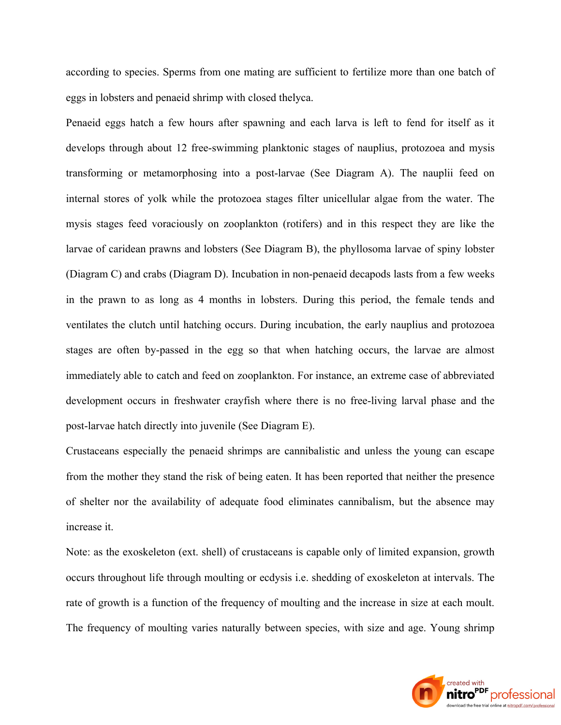according to species. Sperms from one mating are sufficient to fertilize more than one batch of eggs in lobsters and penaeid shrimp with closed thelyca.

Penaeid eggs hatch a few hours after spawning and each larva is left to fend for itself as it develops through about 12 free-swimming planktonic stages of nauplius, protozoea and mysis transforming or metamorphosing into a post-larvae (See Diagram A). The nauplii feed on internal stores of yolk while the protozoea stages filter unicellular algae from the water. The mysis stages feed voraciously on zooplankton (rotifers) and in this respect they are like the larvae of caridean prawns and lobsters (See Diagram B), the phyllosoma larvae of spiny lobster (Diagram C) and crabs (Diagram D). Incubation in non-penaeid decapods lasts from a few weeks in the prawn to as long as 4 months in lobsters. During this period, the female tends and ventilates the clutch until hatching occurs. During incubation, the early nauplius and protozoea stages are often by-passed in the egg so that when hatching occurs, the larvae are almost immediately able to catch and feed on zooplankton. For instance, an extreme case of abbreviated development occurs in freshwater crayfish where there is no free-living larval phase and the post-larvae hatch directly into juvenile (See Diagram E).

Crustaceans especially the penaeid shrimps are cannibalistic and unless the young can escape from the mother they stand the risk of being eaten. It has been reported that neither the presence of shelter nor the availability of adequate food eliminates cannibalism, but the absence may increase it.

Note: as the exoskeleton (ext. shell) of crustaceans is capable only of limited expansion, growth occurs throughout life through moulting or ecdysis i.e. shedding of exoskeleton at intervals. The rate of growth is a function of the frequency of moulting and the increase in size at each moult. The frequency of moulting varies naturally between species, with size and age. Young shrimp

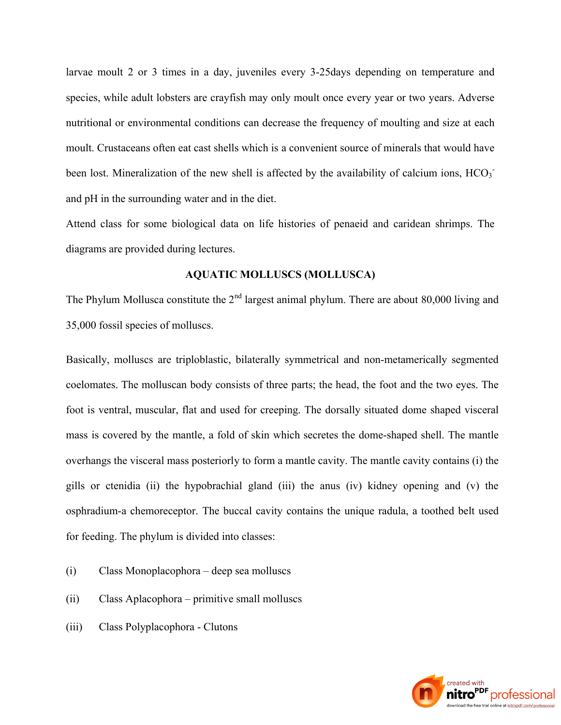larvae moult 2 or 3 times in a day, juveniles every 3-25days depending on temperature and species, while adult lobsters are crayfish may only moult once every year or two years. Adverse nutritional or environmental conditions can decrease the frequency of moulting and size at each moult. Crustaceans often eat cast shells which is a convenient source of minerals that would have been lost. Mineralization of the new shell is affected by the availability of calcium ions, HCO<sub>3</sub> and pH in the surrounding water and in the diet.

Attend class for some biological data on life histories of penaeid and caridean shrimps. The diagrams are provided during lectures.

### **AQUATIC MOLLUSCS (MOLLUSCA)**

The Phylum Mollusca constitute the  $2<sup>nd</sup>$  largest animal phylum. There are about 80,000 living and 35,000 fossil species of molluscs.

Basically, molluscs are triploblastic, bilaterally symmetrical and non-metamerically segmented coelomates. The molluscan body consists of three parts; the head, the foot and the two eyes. The foot is ventral, muscular, flat and used for creeping. The dorsally situated dome shaped visceral mass is covered by the mantle, a fold of skin which secretes the dome-shaped shell. The mantle overhangs the visceral mass posteriorly to form a mantle cavity. The mantle cavity contains (i) the gills or ctenidia (ii) the hypobrachial gland (iii) the anus (iv) kidney opening and (v) the osphradium-a chemoreceptor. The buccal cavity contains the unique radula, a toothed belt used for feeding. The phylum is divided into classes:

- (i) Class Monoplacophora deep sea molluscs
- (ii) Class Aplacophora primitive small molluscs
- (iii) Class Polyplacophora Clutons

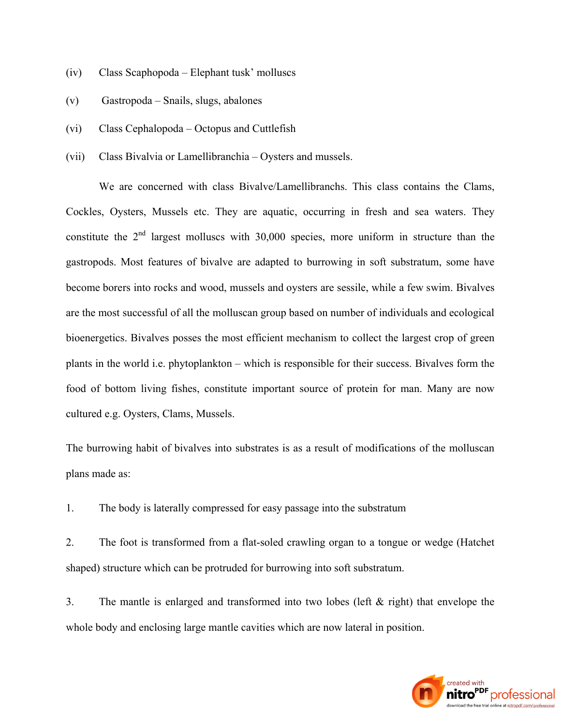- (iv) Class Scaphopoda Elephant tusk' molluscs
- (v) Gastropoda Snails, slugs, abalones
- (vi) Class Cephalopoda Octopus and Cuttlefish
- (vii) Class Bivalvia or Lamellibranchia Oysters and mussels.

We are concerned with class Bivalve/Lamellibranchs. This class contains the Clams, Cockles, Oysters, Mussels etc. They are aquatic, occurring in fresh and sea waters. They constitute the  $2<sup>nd</sup>$  largest molluscs with 30,000 species, more uniform in structure than the gastropods. Most features of bivalve are adapted to burrowing in soft substratum, some have become borers into rocks and wood, mussels and oysters are sessile, while a few swim. Bivalves are the most successful of all the molluscan group based on number of individuals and ecological bioenergetics. Bivalves posses the most efficient mechanism to collect the largest crop of green plants in the world i.e. phytoplankton – which is responsible for their success. Bivalves form the food of bottom living fishes, constitute important source of protein for man. Many are now cultured e.g. Oysters, Clams, Mussels.

The burrowing habit of bivalves into substrates is as a result of modifications of the molluscan plans made as:

1. The body is laterally compressed for easy passage into the substratum

2. The foot is transformed from a flat-soled crawling organ to a tongue or wedge (Hatchet shaped) structure which can be protruded for burrowing into soft substratum.

3. The mantle is enlarged and transformed into two lobes (left & right) that envelope the whole body and enclosing large mantle cavities which are now lateral in position.

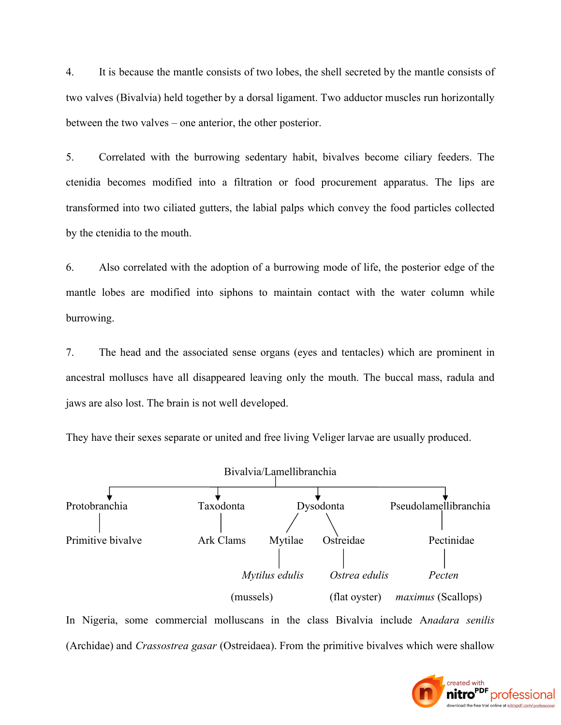4. It is because the mantle consists of two lobes, the shell secreted by the mantle consists of two valves (Bivalvia) held together by a dorsal ligament. Two adductor muscles run horizontally between the two valves – one anterior, the other posterior.

5. Correlated with the burrowing sedentary habit, bivalves become ciliary feeders. The ctenidia becomes modified into a filtration or food procurement apparatus. The lips are transformed into two ciliated gutters, the labial palps which convey the food particles collected by the ctenidia to the mouth.

6. Also correlated with the adoption of a burrowing mode of life, the posterior edge of the mantle lobes are modified into siphons to maintain contact with the water column while burrowing.

7. The head and the associated sense organs (eyes and tentacles) which are prominent in ancestral molluscs have all disappeared leaving only the mouth. The buccal mass, radula and jaws are also lost. The brain is not well developed.

They have their sexes separate or united and free living Veliger larvae are usually produced.



In Nigeria, some commercial molluscans in the class Bivalvia include A*nadara senilis* (Archidae) and *Crassostrea gasar* (Ostreidaea). From the primitive bivalves which were shallow

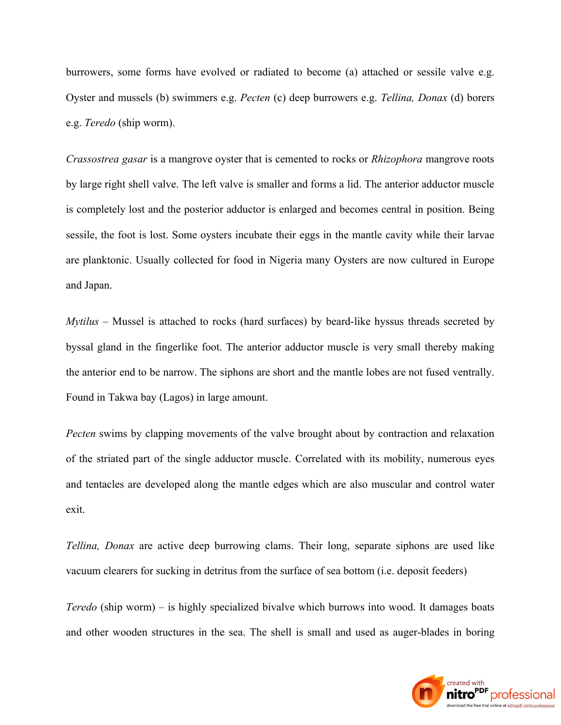burrowers, some forms have evolved or radiated to become (a) attached or sessile valve e.g. Oyster and mussels (b) swimmers e.g. *Pecten* (c) deep burrowers e.g. *Tellina, Donax* (d) borers e.g. *Teredo* (ship worm).

*Crassostrea gasar* is a mangrove oyster that is cemented to rocks or *Rhizophora* mangrove roots by large right shell valve. The left valve is smaller and forms a lid. The anterior adductor muscle is completely lost and the posterior adductor is enlarged and becomes central in position. Being sessile, the foot is lost. Some oysters incubate their eggs in the mantle cavity while their larvae are planktonic. Usually collected for food in Nigeria many Oysters are now cultured in Europe and Japan.

*Mytilus* – Mussel is attached to rocks (hard surfaces) by beard-like hyssus threads secreted by byssal gland in the fingerlike foot. The anterior adductor muscle is very small thereby making the anterior end to be narrow. The siphons are short and the mantle lobes are not fused ventrally. Found in Takwa bay (Lagos) in large amount.

*Pecten* swims by clapping movements of the valve brought about by contraction and relaxation of the striated part of the single adductor muscle. Correlated with its mobility, numerous eyes and tentacles are developed along the mantle edges which are also muscular and control water exit.

*Tellina, Donax* are active deep burrowing clams. Their long, separate siphons are used like vacuum clearers for sucking in detritus from the surface of sea bottom (i.e. deposit feeders)

*Teredo* (ship worm) – is highly specialized bivalve which burrows into wood. It damages boats and other wooden structures in the sea. The shell is small and used as auger-blades in boring